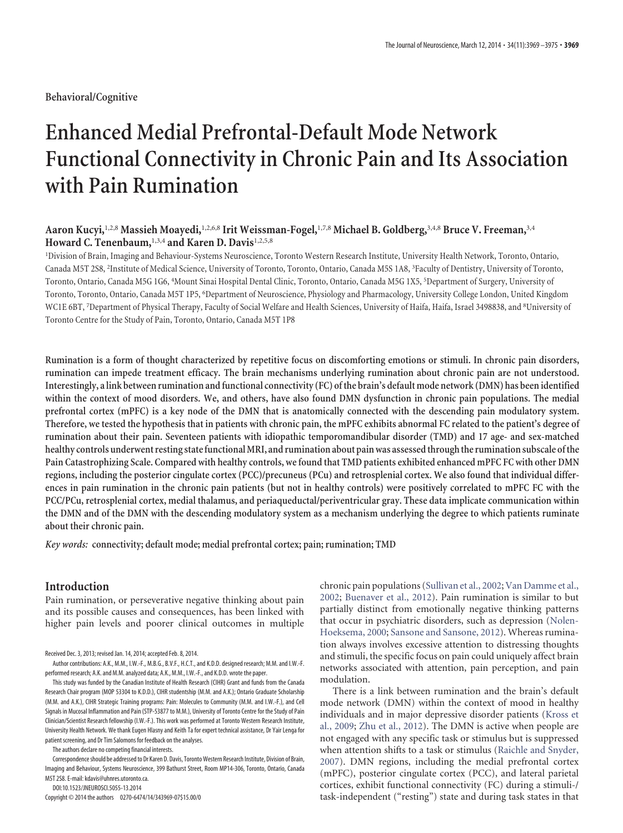**Behavioral/Cognitive**

# **Enhanced Medial Prefrontal-Default Mode Network Functional Connectivity in Chronic Pain and Its Association with Pain Rumination**

# **Aaron Kucyi,**1,2,8 **Massieh Moayedi,**1,2,6,8 **Irit Weissman-Fogel,**1,7,8 **Michael B. Goldberg,**3,4,8 **Bruce V. Freeman,**3,4 **Howard C. Tenenbaum,**1,3,4 **and Karen D. Davis**1,2,5,8

1 Division of Brain, Imaging and Behaviour-Systems Neuroscience, Toronto Western Research Institute, University Health Network, Toronto, Ontario, Canada M5T 2S8, <sup>2</sup> Institute of Medical Science, University of Toronto, Toronto, Ontario, Canada M5S 1A8, <sup>3</sup> Faculty of Dentistry, University of Toronto, Toronto, Ontario, Canada M5G 1G6, <sup>4</sup> Mount Sinai Hospital Dental Clinic, Toronto, Ontario, Canada M5G 1X5, <sup>5</sup> Department of Surgery, University of Toronto, Toronto, Ontario, Canada M5T 1P5, <sup>6</sup> Department of Neuroscience, Physiology and Pharmacology, University College London, United Kingdom WC1E 6BT, <sup>7</sup> Department of Physical Therapy, Faculty of Social Welfare and Health Sciences, University of Haifa, Haifa, Israel 3498838, and <sup>8</sup> University of Toronto Centre for the Study of Pain, Toronto, Ontario, Canada M5T 1P8

**Rumination is a form of thought characterized by repetitive focus on discomforting emotions or stimuli. In chronic pain disorders, rumination can impede treatment efficacy. The brain mechanisms underlying rumination about chronic pain are not understood. Interestingly, a link between rumination and functional connectivity (FC) ofthe brain's default mode network (DMN) has been identified within the context of mood disorders. We, and others, have also found DMN dysfunction in chronic pain populations. The medial prefrontal cortex (mPFC) is a key node of the DMN that is anatomically connected with the descending pain modulatory system. Therefore, we tested the hypothesis that in patients with chronic pain, the mPFC exhibits abnormal FC related to the patient's degree of rumination about their pain. Seventeen patients with idiopathic temporomandibular disorder (TMD) and 17 age- and sex-matched healthy controls underwent resting statefunctional MRI, and rumination about pain was assessedthroughthe rumination subscale ofthe Pain Catastrophizing Scale. Compared with healthy controls, we found that TMD patients exhibited enhanced mPFC FC with other DMN regions, including the posterior cingulate cortex (PCC)/precuneus (PCu) and retrosplenial cortex. We also found that individual differences in pain rumination in the chronic pain patients (but not in healthy controls) were positively correlated to mPFC FC with the PCC/PCu, retrosplenial cortex, medial thalamus, and periaqueductal/periventricular gray. These data implicate communication within the DMN and of the DMN with the descending modulatory system as a mechanism underlying the degree to which patients ruminate about their chronic pain.**

*Key words:* **connectivity; default mode; medial prefrontal cortex; pain; rumination; TMD**

# **Introduction**

Pain rumination, or perseverative negative thinking about pain and its possible causes and consequences, has been linked with higher pain levels and poorer clinical outcomes in multiple

Received Dec. 3, 2013; revised Jan. 14, 2014; accepted Feb. 8, 2014.

The authors declare no competing financial interests.

Correspondence should be addressed to Dr Karen D. Davis, Toronto Western Research Institute, Division of Brain, Imaging and Behaviour, Systems Neuroscience, 399 Bathurst Street, Room MP14-306, Toronto, Ontario, Canada M5T 2S8. E-mail: kdavis@uhnres.utoronto.ca.

DOI:10.1523/JNEUROSCI.5055-13.2014

Copyright © 2014 the authors 0270-6474/14/343969-07\$15.00/0

chronic pain populations [\(Sullivan et al., 2002;](#page-6-0) [Van Damme et al.,](#page-6-1) [2002;](#page-6-1) [Buenaver et al., 2012\)](#page-5-0). Pain rumination is similar to but partially distinct from emotionally negative thinking patterns that occur in psychiatric disorders, such as depression [\(Nolen-](#page-6-2)[Hoeksema, 2000;](#page-6-2) [Sansone and Sansone, 2012\)](#page-6-3). Whereas rumination always involves excessive attention to distressing thoughts and stimuli, the specific focus on pain could uniquely affect brain networks associated with attention, pain perception, and pain modulation.

There is a link between rumination and the brain's default mode network (DMN) within the context of mood in healthy individuals and in major depressive disorder patients [\(Kross et](#page-5-1) [al., 2009;](#page-5-1) [Zhu et al., 2012\)](#page-6-4). The DMN is active when people are not engaged with any specific task or stimulus but is suppressed when attention shifts to a task or stimulus [\(Raichle and Snyder,](#page-6-5) [2007\)](#page-6-5). DMN regions, including the medial prefrontal cortex (mPFC), posterior cingulate cortex (PCC), and lateral parietal cortices, exhibit functional connectivity (FC) during a stimuli-/ task-independent ("resting") state and during task states in that

Author contributions: A.K., M.M., I.W.-F., M.B.G., B.V.F., H.C.T., and K.D.D. designed research; M.M. and I.W.-F. performed research; A.K. and M.M. analyzed data; A.K., M.M., I.W.-F., and K.D.D. wrote the paper.

This study was funded by the Canadian Institute of Health Research (CIHR) Grant and funds from the Canada Research Chair program (MOP 53304 to K.D.D.), CIHR studentship (M.M. and A.K.); Ontario Graduate Scholarship (M.M. and A.K.), CIHR Strategic Training programs: Pain: Molecules to Community (M.M. and I.W.-F.), and Cell Signals in Mucosal Inflammation and Pain (STP-53877 to M.M.), University of Toronto Centre for the Study of Pain Clinician/Scientist Research fellowship (I.W.-F.). This work was performed at Toronto Western Research Institute, University Health Network. We thank Eugen Hlasny and Keith Ta for expert technical assistance, Dr Yair Lenga for patient screening, and Dr Tim Salomons for feedback on the analyses.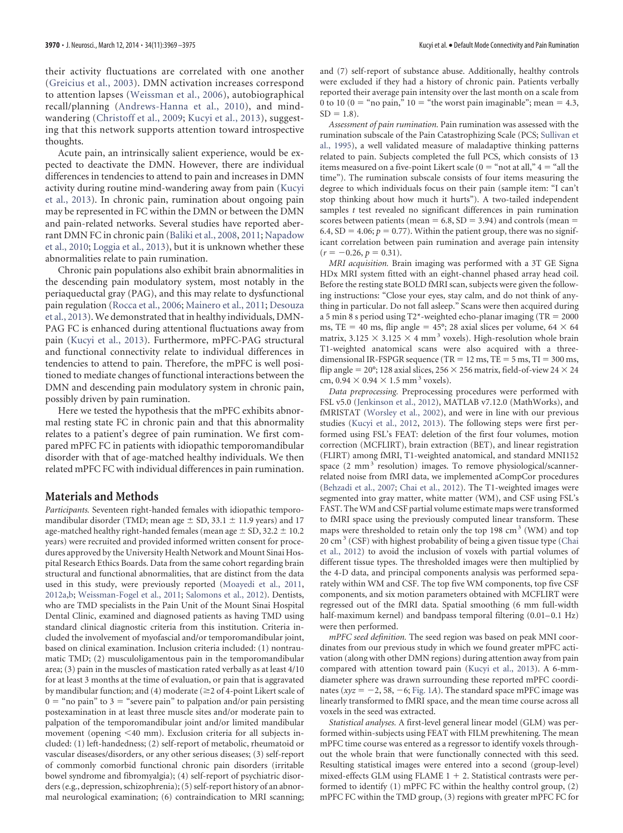their activity fluctuations are correlated with one another [\(Greicius et al., 2003\)](#page-5-2). DMN activation increases correspond to attention lapses [\(Weissman et al., 2006\)](#page-6-6), autobiographical recall/planning [\(Andrews-Hanna et al., 2010\)](#page-5-3), and mindwandering [\(Christoff et al., 2009;](#page-5-4) [Kucyi et al., 2013\)](#page-5-5), suggesting that this network supports attention toward introspective thoughts.

Acute pain, an intrinsically salient experience, would be expected to deactivate the DMN. However, there are individual differences in tendencies to attend to pain and increases in DMN activity during routine mind-wandering away from pain [\(Kucyi](#page-5-5) [et al., 2013\)](#page-5-5). In chronic pain, rumination about ongoing pain may be represented in FC within the DMN or between the DMN and pain-related networks. Several studies have reported aberrant DMN FC in chronic pain [\(Baliki et al., 2008,](#page-5-6) [2011;](#page-5-7) [Napadow](#page-6-7) [et al., 2010;](#page-6-7) [Loggia et al., 2013\)](#page-6-8), but it is unknown whether these abnormalities relate to pain rumination.

Chronic pain populations also exhibit brain abnormalities in the descending pain modulatory system, most notably in the periaqueductal gray (PAG), and this may relate to dysfunctional pain regulation [\(Rocca et al., 2006;](#page-6-9) [Mainero et al., 2011;](#page-6-10) [Desouza](#page-5-8) [et al., 2013\)](#page-5-8). We demonstrated that in healthy individuals, DMN-PAG FC is enhanced during attentional fluctuations away from pain [\(Kucyi et al., 2013\)](#page-5-5). Furthermore, mPFC-PAG structural and functional connectivity relate to individual differences in tendencies to attend to pain. Therefore, the mPFC is well positioned to mediate changes of functional interactions between the DMN and descending pain modulatory system in chronic pain, possibly driven by pain rumination.

Here we tested the hypothesis that the mPFC exhibits abnormal resting state FC in chronic pain and that this abnormality relates to a patient's degree of pain rumination. We first compared mPFC FC in patients with idiopathic temporomandibular disorder with that of age-matched healthy individuals. We then related mPFC FC with individual differences in pain rumination.

## **Materials and Methods**

*Participants.* Seventeen right-handed females with idiopathic temporomandibular disorder (TMD; mean age  $\pm$  SD, 33.1  $\pm$  11.9 years) and 17 age-matched healthy right-handed females (mean age  $\pm$  SD, 32.2  $\pm$  10.2 years) were recruited and provided informed written consent for procedures approved by the University Health Network and Mount Sinai Hospital Research Ethics Boards. Data from the same cohort regarding brain structural and functional abnormalities, that are distinct from the data used in this study, were previously reported [\(Moayedi et al., 2011,](#page-6-11) [2012a,](#page-6-12)[b;](#page-6-13) [Weissman-Fogel et al., 2011;](#page-6-14) [Salomons et al., 2012\)](#page-6-15). Dentists, who are TMD specialists in the Pain Unit of the Mount Sinai Hospital Dental Clinic, examined and diagnosed patients as having TMD using standard clinical diagnostic criteria from this institution. Criteria included the involvement of myofascial and/or temporomandibular joint, based on clinical examination. Inclusion criteria included: (1) nontraumatic TMD; (2) musculoligamentous pain in the temporomandibular area; (3) pain in the muscles of mastication rated verbally as at least 4/10 for at least 3 months at the time of evaluation, or pain that is aggravated by mandibular function; and  $(4)$  moderate  $(\geq 2$  of 4-point Likert scale of  $0 =$  "no pain" to  $3 =$  "severe pain" to palpation and/or pain persisting postexamination in at least three muscle sites and/or moderate pain to palpation of the temporomandibular joint and/or limited mandibular movement (opening <40 mm). Exclusion criteria for all subjects included: (1) left-handedness; (2) self-report of metabolic, rheumatoid or vascular diseases/disorders, or any other serious diseases; (3) self-report of commonly comorbid functional chronic pain disorders (irritable bowel syndrome and fibromyalgia); (4) self-report of psychiatric disorders (e.g., depression, schizophrenia); (5) self-report history of an abnormal neurological examination; (6) contraindication to MRI scanning;

and (7) self-report of substance abuse. Additionally, healthy controls were excluded if they had a history of chronic pain. Patients verbally reported their average pain intensity over the last month on a scale from 0 to 10 (0 = "no pain,"  $10 =$  "the worst pain imaginable"; mean = 4.3,  $SD = 1.8$ ).

*Assessment of pain rumination.* Pain rumination was assessed with the rumination subscale of the Pain Catastrophizing Scale (PCS; [Sullivan et](#page-6-16) [al., 1995\)](#page-6-16), a well validated measure of maladaptive thinking patterns related to pain. Subjects completed the full PCS, which consists of 13 items measured on a five-point Likert scale ( $0 =$  "not at all,"  $4 =$  "all the time"). The rumination subscale consists of four items measuring the degree to which individuals focus on their pain (sample item: "I can't stop thinking about how much it hurts"). A two-tailed independent samples *t* test revealed no significant differences in pain rumination scores between patients (mean  $= 6.8$ , SD  $= 3.94$ ) and controls (mean  $=$ 6.4, SD = 4.06;  $p = 0.77$ ). Within the patient group, there was no significant correlation between pain rumination and average pain intensity  $(r = -0.26, p = 0.31).$ 

*MRI acquisition.* Brain imaging was performed with a 3T GE Signa HDx MRI system fitted with an eight-channel phased array head coil. Before the resting state BOLD fMRI scan, subjects were given the following instructions: "Close your eyes, stay calm, and do not think of anything in particular. Do not fall asleep." Scans were then acquired during a 5 min 8 s period using T2\*-weighted echo-planar imaging (TR  $= 2000$ ms, TE = 40 ms, flip angle = 45°; 28 axial slices per volume,  $64 \times 64$ matrix,  $3.125 \times 3.125 \times 4$  mm<sup>3</sup> voxels). High-resolution whole brain T1-weighted anatomical scans were also acquired with a threedimensional IR-FSPGR sequence (TR =  $12 \text{ ms}$ , TE =  $5 \text{ ms}$ , TI =  $300 \text{ ms}$ , flip angle = 20°; 128 axial slices, 256  $\times$  256 matrix, field-of-view 24  $\times$  24 cm,  $0.94 \times 0.94 \times 1.5$  mm<sup>3</sup> voxels).

*Data preprocessing.* Preprocessing procedures were performed with FSL v5.0 [\(Jenkinson et al., 2012\)](#page-5-9), MATLAB v7.12.0 (MathWorks), and fMRISTAT [\(Worsley et al., 2002\)](#page-6-17), and were in line with our previous studies [\(Kucyi et al., 2012,](#page-5-10) [2013\)](#page-5-5). The following steps were first performed using FSL's FEAT: deletion of the first four volumes, motion correction (MCFLIRT), brain extraction (BET), and linear registration (FLIRT) among fMRI, T1-weighted anatomical, and standard MNI152 space (2 mm<sup>3</sup> resolution) images. To remove physiological/scannerrelated noise from fMRI data, we implemented aCompCor procedures [\(Behzadi et al., 2007;](#page-5-11) [Chai et al., 2012\)](#page-5-12). The T1-weighted images were segmented into gray matter, white matter (WM), and CSF using FSL's FAST. The WM and CSF partial volume estimate maps were transformed to fMRI space using the previously computed linear transform. These maps were thresholded to retain only the top 198 cm<sup>3</sup> (WM) and top  $20 \text{ cm}^3$  (CSF) with highest probability of being a given tissue type [\(Chai](#page-5-12) [et al., 2012\)](#page-5-12) to avoid the inclusion of voxels with partial volumes of different tissue types. The thresholded images were then multiplied by the 4-D data, and principal components analysis was performed separately within WM and CSF. The top five WM components, top five CSF components, and six motion parameters obtained with MCFLIRT were regressed out of the fMRI data. Spatial smoothing (6 mm full-width half-maximum kernel) and bandpass temporal filtering (0.01–0.1 Hz) were then performed.

*mPFC seed definition.* The seed region was based on peak MNI coordinates from our previous study in which we found greater mPFC activation (along with other DMN regions) during attention away from pain compared with attention toward pain [\(Kucyi et al., 2013\)](#page-5-5). A 6-mmdiameter sphere was drawn surrounding these reported mPFC coordinates ( $xyz = -2$ , 58, -6; [Fig. 1](#page-2-0)*A*). The standard space mPFC image was linearly transformed to fMRI space, and the mean time course across all voxels in the seed was extracted.

*Statistical analyses.* A first-level general linear model (GLM) was performed within-subjects using FEAT with FILM prewhitening. The mean mPFC time course was entered as a regressor to identify voxels throughout the whole brain that were functionally connected with this seed. Resulting statistical images were entered into a second (group-level) mixed-effects GLM using FLAME  $1 + 2$ . Statistical contrasts were performed to identify (1) mPFC FC within the healthy control group, (2) mPFC FC within the TMD group, (3) regions with greater mPFC FC for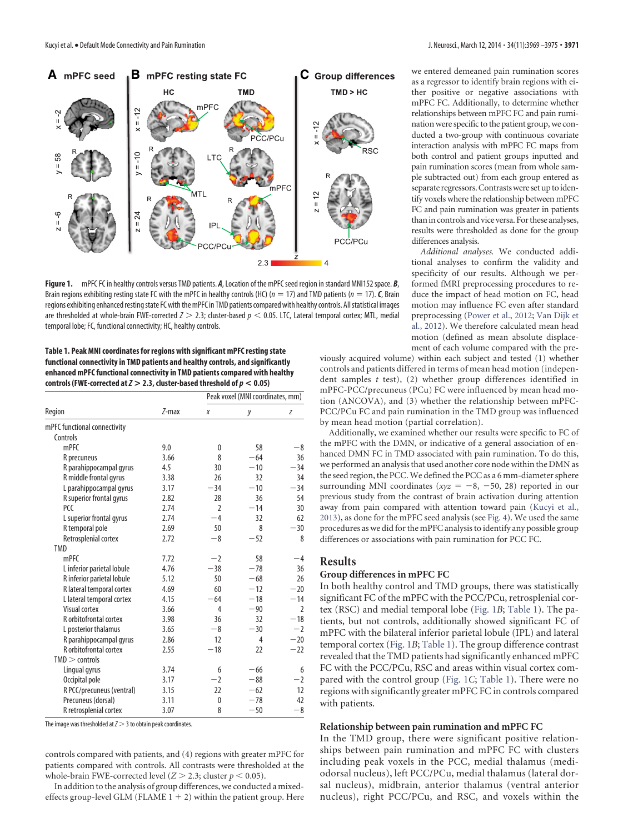

<span id="page-2-0"></span>**Figure 1.** mPFC FC in healthy controls versus TMD patients. *A*, Location of the mPFC seed region in standard MNI152 space. *B*, Brain regions exhibiting resting state FC with the mPFC in healthy controls (HC) ( $n = 17$ ) and TMD patients ( $n = 17$ ). *C*, Brain regions exhibiting enhanced resting state FC with the mPFC in TMD patients compared with healthy controls. All statistical images are thresholded at whole-brain FWE-corrected *Z*  $>$  2.3; cluster-based *p* < 0.05. LTC, Lateral temporal cortex; MTL, medial temporal lobe; FC, functional connectivity; HC, healthy controls.

# <span id="page-2-1"></span>**Table 1. Peak MNI coordinates for regions with significant mPFC resting state functional connectivity in TMD patients and healthy controls, and significantly enhanced mPFC functional connectivity in TMD patients compared with healthy controls (FWE-corrected at***Z* **> 2.3, cluster-based threshold of** *p* **< 0.05)**

|                              |          | Peak voxel (MNI coordinates, mm) |       |                |  |
|------------------------------|----------|----------------------------------|-------|----------------|--|
| Region                       | $Z$ -max | X                                | у     | Z              |  |
| mPFC functional connectivity |          |                                  |       |                |  |
| Controls                     |          |                                  |       |                |  |
| mPFC                         | 9.0      | 0                                | 58    | -8             |  |
| R precuneus                  | 3.66     | 8                                | $-64$ | 36             |  |
| R parahippocampal gyrus      | 4.5      | 30                               | $-10$ | $-34$          |  |
| R middle frontal gyrus       | 3.38     | 26                               | 32    | 34             |  |
| L parahippocampal gyrus      | 3.17     | $-34$                            | $-10$ | $-34$          |  |
| R superior frontal gyrus     | 2.82     | 28                               | 36    | 54             |  |
| PCC                          | 2.74     | $\overline{2}$                   | $-14$ | 30             |  |
| L superior frontal gyrus     | 2.74     | $-4$                             | 32    | 62             |  |
| R temporal pole              | 2.69     | 50                               | 8     | $-30$          |  |
| Retrosplenial cortex         | 2.72     | $-8$                             | $-52$ | 8              |  |
| <b>TMD</b>                   |          |                                  |       |                |  |
| mPFC                         | 7.72     | $-2$                             | 58    | $-4$           |  |
| L inferior parietal lobule   | 4.76     | $-38$                            | $-78$ | 36             |  |
| R inferior parietal lobule   | 5.12     | 50                               | $-68$ | 26             |  |
| R lateral temporal cortex    | 4.69     | 60                               | $-12$ | $-20$          |  |
| L lateral temporal cortex    | 4.15     | $-64$                            | $-18$ | $-14$          |  |
| Visual cortex                | 3.66     | 4                                | $-90$ | $\overline{2}$ |  |
| R orbitofrontal cortex       | 3.98     | 36                               | 32    | $-18$          |  |
| L posterior thalamus         | 3.65     | $-8$                             | $-30$ | $-2$           |  |
| R parahippocampal gyrus      | 2.86     | 12                               | 4     | $-20$          |  |
| R orbitofrontal cortex       | 2.55     | $-18$                            | 22    | $-22$          |  |
| $TMD >$ controls             |          |                                  |       |                |  |
| Lingual gyrus                | 3.74     | 6                                | $-66$ | 6              |  |
| Occipital pole               | 3.17     | $-2$                             | $-88$ | $-2$           |  |
| R PCC/precuneus (ventral)    | 3.15     | 22                               | $-62$ | 12             |  |
| Precuneus (dorsal)           | 3.11     | $\mathbf{0}$                     | $-78$ | 42             |  |
| R retrosplenial cortex       | 3.07     | 8                                | $-50$ | $-8$           |  |

The image was thresholded at  $Z > 3$  to obtain peak coordinates.

controls compared with patients, and (4) regions with greater mPFC for patients compared with controls. All contrasts were thresholded at the whole-brain FWE-corrected level  $(Z > 2.3$ ; cluster  $p < 0.05$ ).

In addition to the analysis of group differences, we conducted a mixedeffects group-level GLM (FLAME  $1 + 2$ ) within the patient group. Here we entered demeaned pain rumination scores as a regressor to identify brain regions with either positive or negative associations with mPFC FC. Additionally, to determine whether relationships between mPFC FC and pain rumination were specific to the patient group, we conducted a two-group with continuous covariate interaction analysis with mPFC FC maps from both control and patient groups inputted and pain rumination scores (mean from whole sample subtracted out) from each group entered as separate regressors. Contrasts were set up to identify voxels where the relationship between mPFC FC and pain rumination was greater in patients than in controls and vice versa. For these analyses, results were thresholded as done for the group differences analysis.

*Additional analyses.* We conducted additional analyses to confirm the validity and specificity of our results. Although we performed fMRI preprocessing procedures to reduce the impact of head motion on FC, head motion may influence FC even after standard preprocessing [\(Power et al., 2012;](#page-6-18) [Van Dijk et](#page-6-19) [al., 2012\)](#page-6-19). We therefore calculated mean head motion (defined as mean absolute displacement of each volume compared with the pre-

viously acquired volume) within each subject and tested (1) whether controls and patients differed in terms of mean head motion (independent samples *t* test), (2) whether group differences identified in mPFC-PCC/precuneus (PCu) FC were influenced by mean head motion (ANCOVA), and (3) whether the relationship between mPFC-PCC/PCu FC and pain rumination in the TMD group was influenced by mean head motion (partial correlation).

Additionally, we examined whether our results were specific to FC of the mPFC with the DMN, or indicative of a general association of enhanced DMN FC in TMD associated with pain rumination. To do this, we performed an analysis that used another core node within the DMN as the seed region, the PCC.We defined the PCC as a 6 mm-diameter sphere surrounding MNI coordinates ( $xyz = -8, -50, 28$ ) reported in our previous study from the contrast of brain activation during attention away from pain compared with attention toward pain [\(Kucyi et al.,](#page-5-5) [2013\)](#page-5-5), as done for the mPFC seed analysis (see [Fig. 4\)](#page-4-0). We used the same procedures as we did for the mPFC analysis to identify any possible group differences or associations with pain rumination for PCC FC.

# **Results**

### **Group differences in mPFC FC**

In both healthy control and TMD groups, there was statistically significant FC of the mPFC with the PCC/PCu, retrosplenial cortex (RSC) and medial temporal lobe [\(Fig. 1](#page-2-0)*B*; [Table 1\)](#page-2-1). The patients, but not controls, additionally showed significant FC of mPFC with the bilateral inferior parietal lobule (IPL) and lateral temporal cortex [\(Fig. 1](#page-2-0)*B*; [Table 1\)](#page-2-1). The group difference contrast revealed that the TMD patients had significantly enhanced mPFC FC with the PCC/PCu, RSC and areas within visual cortex compared with the control group [\(Fig. 1](#page-2-0)*C*; [Table 1\)](#page-2-1). There were no regions with significantly greater mPFC FC in controls compared with patients.

#### **Relationship between pain rumination and mPFC FC**

In the TMD group, there were significant positive relationships between pain rumination and mPFC FC with clusters including peak voxels in the PCC, medial thalamus (mediodorsal nucleus), left PCC/PCu, medial thalamus (lateral dorsal nucleus), midbrain, anterior thalamus (ventral anterior nucleus), right PCC/PCu, and RSC, and voxels within the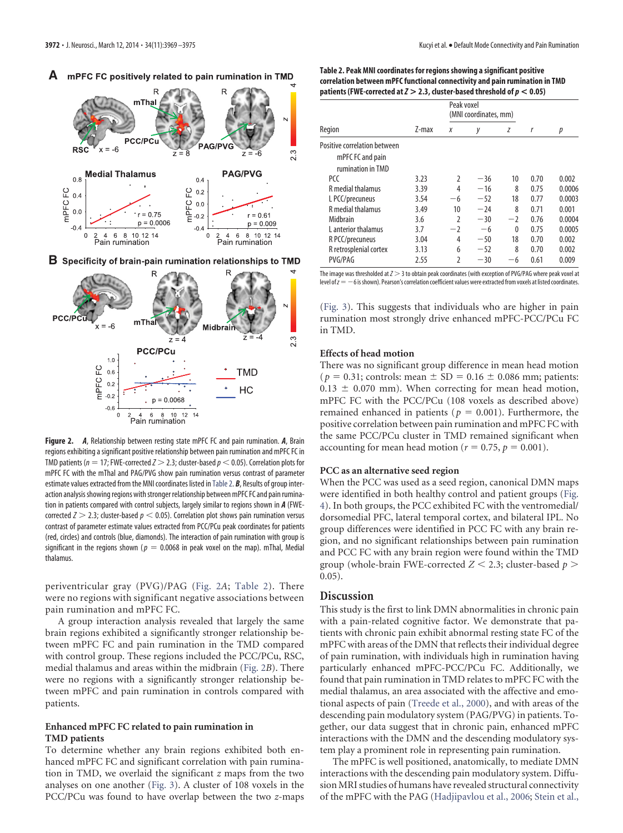

**A** mPFC FC positively related to pain rumination in TMD

**B** Specificity of brain-pain rumination relationships to TMD



<span id="page-3-0"></span>**Figure 2.** *A*, Relationship between resting state mPFC FC and pain rumination. *A*, Brain regions exhibiting a significant positive relationship between pain rumination and mPFC FC in TMD patients ( $n = 17$ ; FWE-corrected  $Z > 2.3$ ; cluster-based  $p < 0.05$ ). Correlation plots for mPFC FC with the mThal and PAG/PVG show pain rumination versus contrast of parameter estimate values extracted from the MNI coordinates listed in [Table 2.](#page-3-1) *B*, Results of group interaction analysis showing regions with stronger relationship between mPFC FC and pain rumination in patients compared with control subjects, largely similar to regions shown in *A* (FWEcorrected  $Z > 2.3$ ; cluster-based  $p < 0.05$ ). Correlation plot shows pain rumination versus contrast of parameter estimate values extracted from PCC/PCu peak coordinates for patients (red, circles) and controls (blue, diamonds). The interaction of pain rumination with group is significant in the regions shown ( $p = 0.0068$  in peak voxel on the map). mThal, Medial thalamus.

periventricular gray (PVG)/PAG [\(Fig. 2](#page-3-0)*A*; [Table 2\)](#page-3-1). There were no regions with significant negative associations between pain rumination and mPFC FC.

A group interaction analysis revealed that largely the same brain regions exhibited a significantly stronger relationship between mPFC FC and pain rumination in the TMD compared with control group. These regions included the PCC/PCu, RSC, medial thalamus and areas within the midbrain [\(Fig. 2](#page-3-0)*B*). There were no regions with a significantly stronger relationship between mPFC and pain rumination in controls compared with patients.

## **Enhanced mPFC FC related to pain rumination in TMD patients**

To determine whether any brain regions exhibited both enhanced mPFC FC and significant correlation with pain rumination in TMD, we overlaid the significant *z* maps from the two analyses on one another [\(Fig. 3\)](#page-4-1). A cluster of 108 voxels in the PCC/PCu was found to have overlap between the two *z*-maps

<span id="page-3-1"></span>

| Table 2. Peak MNI coordinates for regions showing a significant positive       |
|--------------------------------------------------------------------------------|
| correlation between mPFC functional connectivity and pain rumination in TMD    |
| patients (FWE-corrected at $Z > 2.3$ , cluster-based threshold of $p < 0.05$ ) |

| Region                                           |       | Peak voxel<br>(MNI coordinates, mm) |       |          |      |        |
|--------------------------------------------------|-------|-------------------------------------|-------|----------|------|--------|
|                                                  | Z-max | X                                   | у     | Z        | r    | р      |
| Positive correlation between<br>mPFC FC and pain |       |                                     |       |          |      |        |
| rumination in TMD                                |       |                                     |       |          |      |        |
| <b>PCC</b>                                       | 3.23  | 2                                   | $-36$ | 10       | 0.70 | 0.002  |
| R medial thalamus                                | 3.39  | 4                                   | $-16$ | 8        | 0.75 | 0.0006 |
| L PCC/precuneus                                  | 3.54  | -6                                  | $-52$ | 18       | 0.77 | 0.0003 |
| <b>R</b> medial thalamus                         | 3.49  | 10                                  | $-24$ | 8        | 0.71 | 0.001  |
| Midbrain                                         | 3.6   | 2                                   | $-30$ | $-2$     | 0.76 | 0.0004 |
| L anterior thalamus                              | 3.7   | $-2$                                | $-6$  | $\Omega$ | 0.75 | 0.0005 |
| R PCC/precuneus                                  | 3.04  | 4                                   | $-50$ | 18       | 0.70 | 0.002  |
| R retrosplenial cortex                           | 3.13  | 6                                   | $-52$ | 8        | 0.70 | 0.002  |
| PVG/PAG                                          | 2.55  | 2                                   | $-30$ | $-6$     | 0.61 | 0.009  |

The image was thresholded at  $Z > 3$  to obtain peak coordinates (with exception of PVG/PAG where peak voxel at level of*z* =  $-$ 6 is shown). Pearson's correlation coefficient values were extracted from voxels at listed coordinates.

[\(Fig. 3\)](#page-4-1). This suggests that individuals who are higher in pain rumination most strongly drive enhanced mPFC-PCC/PCu FC in TMD.

# **Effects of head motion**

There was no significant group difference in mean head motion  $(p = 0.31;$  controls: mean  $\pm$  SD = 0.16  $\pm$  0.086 mm; patients:  $0.13 \pm 0.070$  mm). When correcting for mean head motion, mPFC FC with the PCC/PCu (108 voxels as described above) remained enhanced in patients ( $p = 0.001$ ). Furthermore, the positive correlation between pain rumination and mPFC FC with the same PCC/PCu cluster in TMD remained significant when accounting for mean head motion ( $r = 0.75$ ,  $p = 0.001$ ).

# **PCC as an alternative seed region**

When the PCC was used as a seed region, canonical DMN maps were identified in both healthy control and patient groups [\(Fig.](#page-4-0) [4\)](#page-4-0). In both groups, the PCC exhibited FC with the ventromedial/ dorsomedial PFC, lateral temporal cortex, and bilateral IPL. No group differences were identified in PCC FC with any brain region, and no significant relationships between pain rumination and PCC FC with any brain region were found within the TMD group (whole-brain FWE-corrected  $Z \le 2.3$ ; cluster-based  $p >$ 0.05).

# **Discussion**

This study is the first to link DMN abnormalities in chronic pain with a pain-related cognitive factor. We demonstrate that patients with chronic pain exhibit abnormal resting state FC of the mPFC with areas of the DMN that reflects their individual degree of pain rumination, with individuals high in rumination having particularly enhanced mPFC-PCC/PCu FC. Additionally, we found that pain rumination in TMD relates to mPFC FC with the medial thalamus, an area associated with the affective and emotional aspects of pain [\(Treede et al., 2000\)](#page-6-20), and with areas of the descending pain modulatory system (PAG/PVG) in patients. Together, our data suggest that in chronic pain, enhanced mPFC interactions with the DMN and the descending modulatory system play a prominent role in representing pain rumination.

The mPFC is well positioned, anatomically, to mediate DMN interactions with the descending pain modulatory system. Diffusion MRI studies of humans have revealed structural connectivity of the mPFC with the PAG [\(Hadjipavlou et al., 2006;](#page-5-13) [Stein et al.,](#page-6-21)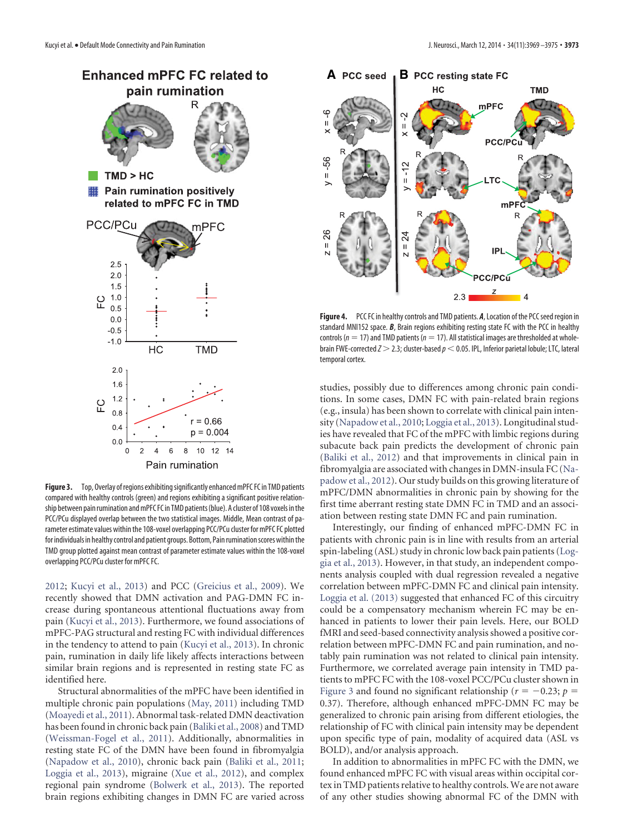

<span id="page-4-1"></span>Figure 3. Top, Overlay of regions exhibiting significantly enhanced mPFC FC in TMD patients compared with healthy controls (green) and regions exhibiting a significant positive relationship between pain rumination and mPFC FC in TMD patients (blue). A cluster of 108 voxels in the PCC/PCu displayed overlap between the two statistical images. Middle, Mean contrast of parameter estimate values within the 108-voxel overlapping PCC/PCu cluster for mPFC FC plotted for individuals in healthy control and patient groups. Bottom, Pain rumination scores within the TMD group plotted against mean contrast of parameter estimate values within the 108-voxel overlapping PCC/PCu cluster for mPFC FC.

[2012;](#page-6-21) [Kucyi et al., 2013\)](#page-5-5) and PCC [\(Greicius et al., 2009\)](#page-5-14). We recently showed that DMN activation and PAG-DMN FC increase during spontaneous attentional fluctuations away from pain [\(Kucyi et al., 2013\)](#page-5-5). Furthermore, we found associations of mPFC-PAG structural and resting FC with individual differences in the tendency to attend to pain [\(Kucyi et al., 2013\)](#page-5-5). In chronic pain, rumination in daily life likely affects interactions between similar brain regions and is represented in resting state FC as identified here.

Structural abnormalities of the mPFC have been identified in multiple chronic pain populations [\(May, 2011\)](#page-6-22) including TMD [\(Moayedi et al., 2011\)](#page-6-11). Abnormal task-related DMN deactivation has been found in chronic back pain [\(Baliki et al., 2008\)](#page-5-6) and TMD [\(Weissman-Fogel et al., 2011\)](#page-6-14). Additionally, abnormalities in resting state FC of the DMN have been found in fibromyalgia [\(Napadow et al., 2010\)](#page-6-7), chronic back pain [\(Baliki et al., 2011;](#page-5-7) [Loggia et al., 2013\)](#page-6-8), migraine [\(Xue et al., 2012\)](#page-6-23), and complex regional pain syndrome [\(Bolwerk et al., 2013\)](#page-5-15). The reported brain regions exhibiting changes in DMN FC are varied across



<span id="page-4-0"></span>Figure 4. PCC FC in healthy controls and TMD patients. A, Location of the PCC seed region in standard MNI152 space. *B*, Brain regions exhibiting resting state FC with the PCC in healthy controls ( $n = 17$ ) and TMD patients ( $n = 17$ ). All statistical images are thresholded at wholebrain FWE-corrected*Z* 2.3; cluster-based*p* 0.05. IPL, Inferior parietal lobule; LTC, lateral temporal cortex.

studies, possibly due to differences among chronic pain conditions. In some cases, DMN FC with pain-related brain regions (e.g., insula) has been shown to correlate with clinical pain intensity [\(Napadow et al., 2010;](#page-6-7) [Loggia et al., 2013\)](#page-6-8). Longitudinal studies have revealed that FC of the mPFC with limbic regions during subacute back pain predicts the development of chronic pain [\(Baliki et al., 2012\)](#page-5-16) and that improvements in clinical pain in fibromyalgia are associated with changes in DMN-insula FC [\(Na](#page-6-24)[padow et al., 2012\)](#page-6-24). Our study builds on this growing literature of mPFC/DMN abnormalities in chronic pain by showing for the first time aberrant resting state DMN FC in TMD and an association between resting state DMN FC and pain rumination.

Interestingly, our finding of enhanced mPFC-DMN FC in patients with chronic pain is in line with results from an arterial spin-labeling (ASL) study in chronic low back pain patients [\(Log](#page-6-8)[gia et al., 2013\)](#page-6-8). However, in that study, an independent components analysis coupled with dual regression revealed a negative correlation between mPFC-DMN FC and clinical pain intensity. [Loggia et al. \(2013\)](#page-6-8) suggested that enhanced FC of this circuitry could be a compensatory mechanism wherein FC may be enhanced in patients to lower their pain levels. Here, our BOLD fMRI and seed-based connectivity analysis showed a positive correlation between mPFC-DMN FC and pain rumination, and notably pain rumination was not related to clinical pain intensity. Furthermore, we correlated average pain intensity in TMD patients to mPFC FC with the 108-voxel PCC/PCu cluster shown in [Figure 3](#page-4-1) and found no significant relationship ( $r = -0.23$ ;  $p =$ 0.37). Therefore, although enhanced mPFC-DMN FC may be generalized to chronic pain arising from different etiologies, the relationship of FC with clinical pain intensity may be dependent upon specific type of pain, modality of acquired data (ASL vs BOLD), and/or analysis approach.

In addition to abnormalities in mPFC FC with the DMN, we found enhanced mPFC FC with visual areas within occipital cortex in TMD patients relative to healthy controls.We are not aware of any other studies showing abnormal FC of the DMN with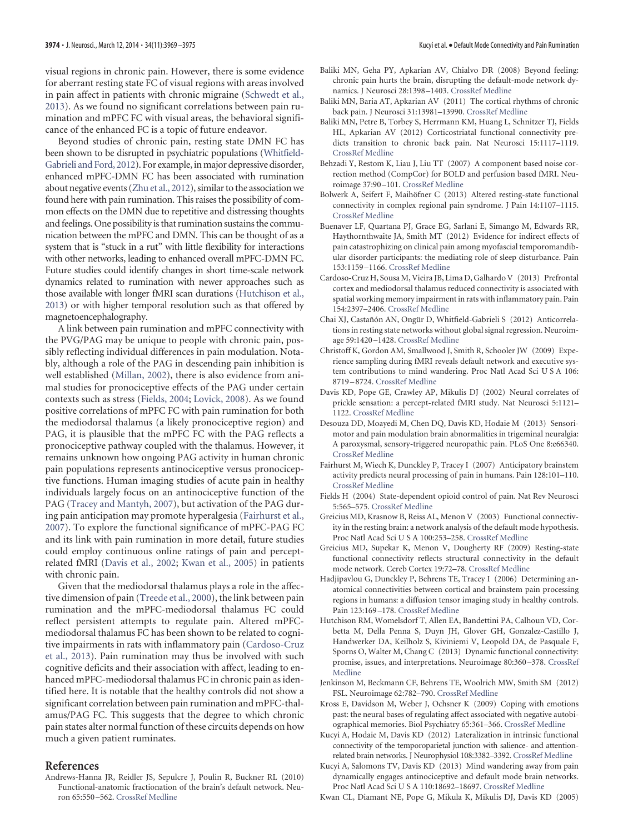visual regions in chronic pain. However, there is some evidence for aberrant resting state FC of visual regions with areas involved in pain affect in patients with chronic migraine [\(Schwedt et al.,](#page-6-25) [2013\)](#page-6-25). As we found no significant correlations between pain rumination and mPFC FC with visual areas, the behavioral significance of the enhanced FC is a topic of future endeavor.

Beyond studies of chronic pain, resting state DMN FC has been shown to be disrupted in psychiatric populations [\(Whitfield-](#page-6-26)[Gabrieli and Ford, 2012\)](#page-6-26). For example, in major depressive disorder, enhanced mPFC-DMN FC has been associated with rumination about negative events [\(Zhu et al., 2012\)](#page-6-4), similar to the association we found here with pain rumination. This raises the possibility of common effects on the DMN due to repetitive and distressing thoughts and feelings. One possibility is that rumination sustains the communication between the mPFC and DMN. This can be thought of as a system that is "stuck in a rut" with little flexibility for interactions with other networks, leading to enhanced overall mPFC-DMN FC. Future studies could identify changes in short time-scale network dynamics related to rumination with newer approaches such as those available with longer fMRI scan durations [\(Hutchison et al.,](#page-5-17) [2013\)](#page-5-17) or with higher temporal resolution such as that offered by magnetoencephalography.

A link between pain rumination and mPFC connectivity with the PVG/PAG may be unique to people with chronic pain, possibly reflecting individual differences in pain modulation. Notably, although a role of the PAG in descending pain inhibition is well established [\(Millan, 2002\)](#page-6-27), there is also evidence from animal studies for pronociceptive effects of the PAG under certain contexts such as stress [\(Fields, 2004;](#page-5-18) [Lovick, 2008\)](#page-6-28). As we found positive correlations of mPFC FC with pain rumination for both the mediodorsal thalamus (a likely pronociceptive region) and PAG, it is plausible that the mPFC FC with the PAG reflects a pronociceptive pathway coupled with the thalamus. However, it remains unknown how ongoing PAG activity in human chronic pain populations represents antinociceptive versus pronociceptive functions. Human imaging studies of acute pain in healthy individuals largely focus on an antinociceptive function of the PAG [\(Tracey and Mantyh, 2007\)](#page-6-29), but activation of the PAG during pain anticipation may promote hyperalgesia [\(Fairhurst et al.,](#page-5-19) [2007\)](#page-5-19). To explore the functional significance of mPFC-PAG FC and its link with pain rumination in more detail, future studies could employ continuous online ratings of pain and perceptrelated fMRI [\(Davis et al., 2002;](#page-5-20) [Kwan et al., 2005\)](#page-5-21) in patients with chronic pain.

Given that the mediodorsal thalamus plays a role in the affective dimension of pain [\(Treede et al., 2000\)](#page-6-20), the link between pain rumination and the mPFC-mediodorsal thalamus FC could reflect persistent attempts to regulate pain. Altered mPFCmediodorsal thalamus FC has been shown to be related to cognitive impairments in rats with inflammatory pain [\(Cardoso-Cruz](#page-5-22) [et al., 2013\)](#page-5-22). Pain rumination may thus be involved with such cognitive deficits and their association with affect, leading to enhanced mPFC-mediodorsal thalamus FC in chronic pain as identified here. It is notable that the healthy controls did not show a significant correlation between pain rumination and mPFC-thalamus/PAG FC. This suggests that the degree to which chronic pain states alter normal function of these circuits depends on how much a given patient ruminates.

# <span id="page-5-3"></span>**References**

Andrews-Hanna JR, Reidler JS, Sepulcre J, Poulin R, Buckner RL (2010) Functional-anatomic fractionation of the brain's default network. Neuron 65:550 –562. [CrossRef](http://dx.doi.org/10.1016/j.neuron.2010.02.005) [Medline](http://www.ncbi.nlm.nih.gov/pubmed/20188659)

- <span id="page-5-6"></span>Baliki MN, Geha PY, Apkarian AV, Chialvo DR (2008) Beyond feeling: chronic pain hurts the brain, disrupting the default-mode network dynamics. J Neurosci 28:1398 –1403. [CrossRef](http://dx.doi.org/10.1523/JNEUROSCI.4123-07.2008) [Medline](http://www.ncbi.nlm.nih.gov/pubmed/18256259)
- <span id="page-5-7"></span>Baliki MN, Baria AT, Apkarian AV (2011) The cortical rhythms of chronic back pain. J Neurosci 31:13981–13990. [CrossRef](http://dx.doi.org/10.1523/JNEUROSCI.1984-11.2011) [Medline](http://www.ncbi.nlm.nih.gov/pubmed/21957259)
- <span id="page-5-16"></span>Baliki MN, Petre B, Torbey S, Herrmann KM, Huang L, Schnitzer TJ, Fields HL, Apkarian AV (2012) Corticostriatal functional connectivity predicts transition to chronic back pain. Nat Neurosci 15:1117–1119. [CrossRef](http://dx.doi.org/10.1038/nn.3153) [Medline](http://www.ncbi.nlm.nih.gov/pubmed/22751038)
- <span id="page-5-11"></span>Behzadi Y, Restom K, Liau J, Liu TT (2007) A component based noise correction method (CompCor) for BOLD and perfusion based fMRI. Neuroimage 37:90 –101. [CrossRef](http://dx.doi.org/10.1016/j.neuroimage.2007.04.042) [Medline](http://www.ncbi.nlm.nih.gov/pubmed/17560126)
- <span id="page-5-15"></span>Bolwerk A, Seifert F, Maihöfner C (2013) Altered resting-state functional connectivity in complex regional pain syndrome. J Pain 14:1107–1115. [CrossRef](http://dx.doi.org/10.1016/j.jpain.2013.04.007) [Medline](http://www.ncbi.nlm.nih.gov/pubmed/23791136)
- <span id="page-5-0"></span>Buenaver LF, Quartana PJ, Grace EG, Sarlani E, Simango M, Edwards RR, Haythornthwaite JA, Smith MT (2012) Evidence for indirect effects of pain catastrophizing on clinical pain among myofascial temporomandibular disorder participants: the mediating role of sleep disturbance. Pain 153:1159 –1166. [CrossRef](http://dx.doi.org/10.1016/j.pain.2012.01.023) [Medline](http://www.ncbi.nlm.nih.gov/pubmed/22417656)
- <span id="page-5-22"></span>Cardoso-Cruz H, Sousa M, Vieira JB, Lima D, Galhardo V (2013) Prefrontal cortex and mediodorsal thalamus reduced connectivity is associated with spatial working memory impairment in rats with inflammatory pain. Pain 154:2397–2406. [CrossRef](http://dx.doi.org/10.1016/j.pain.2013.07.020) [Medline](http://www.ncbi.nlm.nih.gov/pubmed/23872106)
- <span id="page-5-12"></span>Chai XJ, Castañón AN, Ongür D, Whitfield-Gabrieli S (2012) Anticorrelations in resting state networks without global signal regression. Neuroimage 59:1420 –1428. [CrossRef](http://dx.doi.org/10.1016/j.neuroimage.2011.08.048) [Medline](http://www.ncbi.nlm.nih.gov/pubmed/21889994)
- <span id="page-5-4"></span>Christoff K, Gordon AM, Smallwood J, Smith R, Schooler JW (2009) Experience sampling during fMRI reveals default network and executive system contributions to mind wandering. Proc Natl Acad Sci U S A 106: 8719 –8724. [CrossRef](http://dx.doi.org/10.1073/pnas.0900234106) [Medline](http://www.ncbi.nlm.nih.gov/pubmed/19433790)
- <span id="page-5-20"></span>Davis KD, Pope GE, Crawley AP, Mikulis DJ (2002) Neural correlates of prickle sensation: a percept-related fMRI study. Nat Neurosci 5:1121– 1122. [CrossRef](http://dx.doi.org/10.1038/nn955) [Medline](http://www.ncbi.nlm.nih.gov/pubmed/12368810)
- <span id="page-5-8"></span>Desouza DD, Moayedi M, Chen DQ, Davis KD, Hodaie M (2013) Sensorimotor and pain modulation brain abnormalities in trigeminal neuralgia: A paroxysmal, sensory-triggered neuropathic pain. PLoS One 8:e66340. [CrossRef](http://dx.doi.org/10.1371/journal.pone.0066340) [Medline](http://www.ncbi.nlm.nih.gov/pubmed/23823184)
- <span id="page-5-19"></span>Fairhurst M, Wiech K, Dunckley P, Tracey I (2007) Anticipatory brainstem activity predicts neural processing of pain in humans. Pain 128:101–110. [CrossRef](http://dx.doi.org/10.1016/j.pain.2006.09.001) [Medline](http://www.ncbi.nlm.nih.gov/pubmed/17070996)
- <span id="page-5-18"></span>Fields H (2004) State-dependent opioid control of pain. Nat Rev Neurosci 5:565–575. [CrossRef](http://dx.doi.org/10.1038/nrn1431) [Medline](http://www.ncbi.nlm.nih.gov/pubmed/15208698)
- <span id="page-5-2"></span>Greicius MD, Krasnow B, Reiss AL, Menon V (2003) Functional connectivity in the resting brain: a network analysis of the default mode hypothesis. Proc Natl Acad Sci U S A 100:253–258. [CrossRef](http://dx.doi.org/10.1073/pnas.0135058100) [Medline](http://www.ncbi.nlm.nih.gov/pubmed/12506194)
- <span id="page-5-14"></span>Greicius MD, Supekar K, Menon V, Dougherty RF (2009) Resting-state functional connectivity reflects structural connectivity in the default mode network. Cereb Cortex 19:72–78. [CrossRef](http://dx.doi.org/10.1093/cercor/bhn059) [Medline](http://www.ncbi.nlm.nih.gov/pubmed/18403396)
- <span id="page-5-13"></span>Hadjipavlou G, Dunckley P, Behrens TE, Tracey I (2006) Determining anatomical connectivities between cortical and brainstem pain processing regions in humans: a diffusion tensor imaging study in healthy controls. Pain 123:169-178. [CrossRef](http://dx.doi.org/10.1016/j.pain.2006.02.027) [Medline](http://www.ncbi.nlm.nih.gov/pubmed/16616418)
- <span id="page-5-17"></span>Hutchison RM, Womelsdorf T, Allen EA, Bandettini PA, Calhoun VD, Corbetta M, Della Penna S, Duyn JH, Glover GH, Gonzalez-Castillo J, Handwerker DA, Keilholz S, Kiviniemi V, Leopold DA, de Pasquale F, Sporns O, Walter M, Chang C (2013) Dynamic functional connectivity: promise, issues, and interpretations. Neuroimage 80:360 –378. [CrossRef](http://dx.doi.org/10.1016/j.neuroimage.2013.05.079) [Medline](http://www.ncbi.nlm.nih.gov/pubmed/23707587)
- <span id="page-5-9"></span>Jenkinson M, Beckmann CF, Behrens TE, Woolrich MW, Smith SM (2012) FSL. Neuroimage 62:782–790. [CrossRef](http://dx.doi.org/10.1016/j.neuroimage.2011.09.015) [Medline](http://www.ncbi.nlm.nih.gov/pubmed/21979382)
- <span id="page-5-1"></span>Kross E, Davidson M, Weber J, Ochsner K (2009) Coping with emotions past: the neural bases of regulating affect associated with negative autobiographical memories. Biol Psychiatry 65:361–366. [CrossRef](http://dx.doi.org/10.1016/j.biopsych.2008.10.019) [Medline](http://www.ncbi.nlm.nih.gov/pubmed/19058792)
- <span id="page-5-10"></span>Kucyi A, Hodaie M, Davis KD (2012) Lateralization in intrinsic functional connectivity of the temporoparietal junction with salience- and attentionrelated brain networks. J Neurophysiol 108:3382–3392. [CrossRef](http://dx.doi.org/10.1152/jn.00674.2012) [Medline](http://www.ncbi.nlm.nih.gov/pubmed/23019004)
- <span id="page-5-5"></span>Kucyi A, Salomons TV, Davis KD (2013) Mind wandering away from pain dynamically engages antinociceptive and default mode brain networks. Proc Natl Acad Sci U S A 110:18692–18697. [CrossRef](http://dx.doi.org/10.1073/pnas.1312902110) [Medline](http://www.ncbi.nlm.nih.gov/pubmed/24167282)
- <span id="page-5-21"></span>Kwan CL, Diamant NE, Pope G, Mikula K, Mikulis DJ, Davis KD (2005)